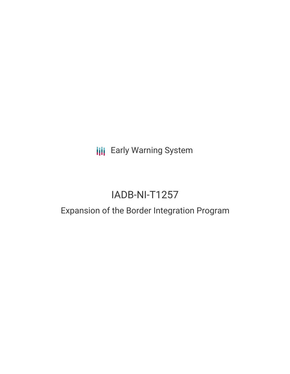**III** Early Warning System

# IADB-NI-T1257

## Expansion of the Border Integration Program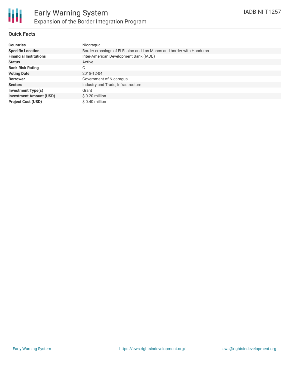### **Quick Facts**

| <b>Countries</b>               | Nicaragua                                                            |
|--------------------------------|----------------------------------------------------------------------|
| <b>Specific Location</b>       | Border crossings of El Espino and Las Manos and border with Honduras |
| <b>Financial Institutions</b>  | Inter-American Development Bank (IADB)                               |
| <b>Status</b>                  | Active                                                               |
| <b>Bank Risk Rating</b>        | С                                                                    |
| <b>Voting Date</b>             | 2018-12-04                                                           |
| <b>Borrower</b>                | Government of Nicaragua                                              |
| <b>Sectors</b>                 | Industry and Trade, Infrastructure                                   |
| <b>Investment Type(s)</b>      | Grant                                                                |
| <b>Investment Amount (USD)</b> | $$0.20$ million                                                      |
| <b>Project Cost (USD)</b>      | $$0.40$ million                                                      |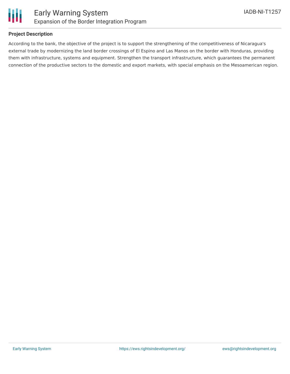

### **Project Description**

According to the bank, the objective of the project is to support the strengthening of the competitiveness of Nicaragua's external trade by modernizing the land border crossings of El Espino and Las Manos on the border with Honduras, providing them with infrastructure, systems and equipment. Strengthen the transport infrastructure, which guarantees the permanent connection of the productive sectors to the domestic and export markets, with special emphasis on the Mesoamerican region.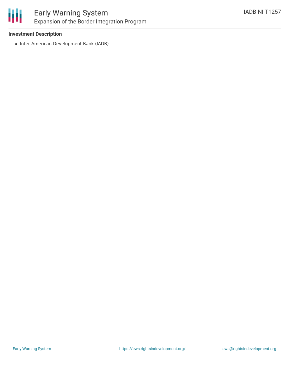

### Early Warning System Expansion of the Border Integration Program

### **Investment Description**

• Inter-American Development Bank (IADB)